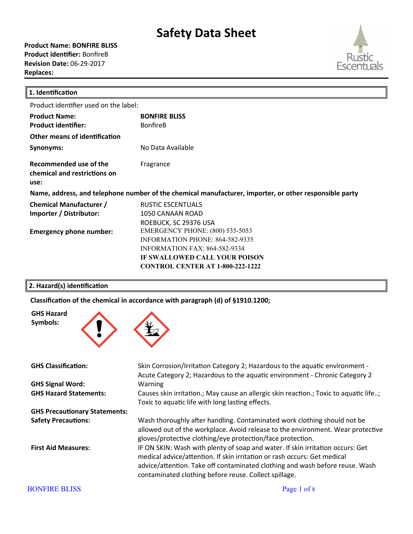**Product Name: BONFIRE BLISS Product identifier:** BonfireB **Revision Date:** 06-29-2017 **Replaces:** 



| 1. Identification                                                                                      |                                         |  |
|--------------------------------------------------------------------------------------------------------|-----------------------------------------|--|
| Product identifier used on the label:                                                                  |                                         |  |
| <b>Product Name:</b>                                                                                   | <b>BONFIRE BLISS</b>                    |  |
| <b>Product identifier:</b>                                                                             | <b>BonfireB</b>                         |  |
| Other means of identification                                                                          |                                         |  |
| Synonyms:                                                                                              | No Data Available                       |  |
| Recommended use of the<br>chemical and restrictions on<br>use:                                         | Fragrance                               |  |
| Name, address, and telephone number of the chemical manufacturer, importer, or other responsible party |                                         |  |
| <b>Chemical Manufacturer /</b>                                                                         | <b>RUSTIC ESCENTUALS</b>                |  |
| Importer / Distributor:                                                                                | 1050 CANAAN ROAD                        |  |
|                                                                                                        | ROEBUCK, SC 29376 USA                   |  |
| <b>Emergency phone number:</b>                                                                         | <b>EMERGENCY PHONE: (800) 535-5053</b>  |  |
|                                                                                                        | <b>INFORMATION PHONE: 864-582-9335</b>  |  |
|                                                                                                        | <b>INFORMATION FAX: 864-582-9334</b>    |  |
|                                                                                                        | <b>IF SWALLOWED CALL YOUR POISON</b>    |  |
|                                                                                                        | <b>CONTROL CENTER AT 1-800-222-1222</b> |  |
|                                                                                                        |                                         |  |

#### **2. Hazard(s) identification**

Classification of the chemical in accordance with paragraph (d) of §1910.1200;



**GHS Signal Word:** Warning

**GHS Precautionary Statements:**

**GHS Classification:** Skin Corrosion/Irritation Category 2; Hazardous to the aquatic environment -Acute Category 2; Hazardous to the aquatic environment - Chronic Category 2 **GHS Hazard Statements:** Causes skin irritation.; May cause an allergic skin reaction.; Toxic to aquatic life..; Toxic to aquatic life with long lasting effects. **Safety Precautions:** Wash thoroughly after handling. Contaminated work clothing should not be allowed out of the workplace. Avoid release to the environment. Wear protective gloves/protective clothing/eye protection/face protection. First Aid Measures: **IF ON SKIN: Wash with plenty of soap and water. If skin irritation occurs: Get** medical advice/attention. If skin irritation or rash occurs: Get medical advice/attention. Take off contaminated clothing and wash before reuse. Wash contaminated clothing before reuse. Collect spillage.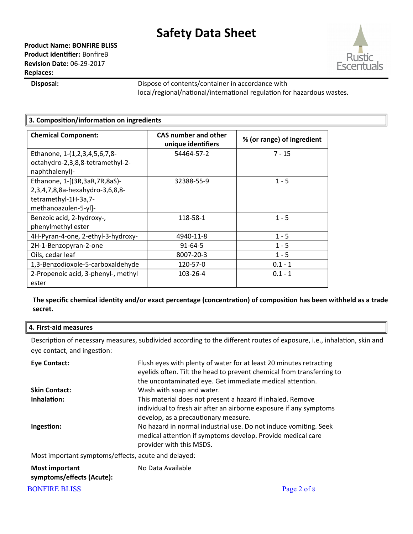

**Disposal:** Dispose of contents/container in accordance with local/regional/national/international regulation for hazardous wastes.

| 3. Composition/information on ingredients                                                                        |                                                   |                            |
|------------------------------------------------------------------------------------------------------------------|---------------------------------------------------|----------------------------|
| <b>Chemical Component:</b>                                                                                       | <b>CAS number and other</b><br>unique identifiers | % (or range) of ingredient |
| Ethanone, 1-(1,2,3,4,5,6,7,8-<br>octahydro-2,3,8,8-tetramethyl-2-<br>naphthalenyl)-                              | 54464-57-2                                        | $7 - 15$                   |
| Ethanone, 1-[(3R,3aR,7R,8aS)-<br>2,3,4,7,8,8a-hexahydro-3,6,8,8-<br>tetramethyl-1H-3a,7-<br>methanoazulen-5-yl]- | 32388-55-9                                        | $1 - 5$                    |
| Benzoic acid, 2-hydroxy-,<br>phenylmethyl ester                                                                  | 118-58-1                                          | $1 - 5$                    |
| 4H-Pyran-4-one, 2-ethyl-3-hydroxy-                                                                               | 4940-11-8                                         | $1 - 5$                    |
| 2H-1-Benzopyran-2-one                                                                                            | $91 - 64 - 5$                                     | $1 - 5$                    |
| Oils, cedar leaf                                                                                                 | 8007-20-3                                         | $1 - 5$                    |
| 1,3-Benzodioxole-5-carboxaldehyde                                                                                | 120-57-0                                          | $0.1 - 1$                  |
| 2-Propenoic acid, 3-phenyl-, methyl<br>ester                                                                     | 103-26-4                                          | $0.1 - 1$                  |

**The specific chemical identity and/or exact percentage (concentration) of composition has been withheld as a trade secret.**

#### **4. First-aid measures**

Description of necessary measures, subdivided according to the different routes of exposure, i.e., inhalation, skin and eye contact, and ingestion:

| <b>Eye Contact:</b>                                 | Flush eyes with plenty of water for at least 20 minutes retracting<br>eyelids often. Tilt the head to prevent chemical from transferring to<br>the uncontaminated eye. Get immediate medical attention. |
|-----------------------------------------------------|---------------------------------------------------------------------------------------------------------------------------------------------------------------------------------------------------------|
| <b>Skin Contact:</b>                                | Wash with soap and water.                                                                                                                                                                               |
| Inhalation:                                         | This material does not present a hazard if inhaled. Remove<br>individual to fresh air after an airborne exposure if any symptoms<br>develop, as a precautionary measure.                                |
| Ingestion:                                          | No hazard in normal industrial use. Do not induce vomiting. Seek<br>medical attention if symptoms develop. Provide medical care<br>provider with this MSDS.                                             |
| Most important symptoms/effects, acute and delayed: |                                                                                                                                                                                                         |
| <b>Most important</b><br>symptoms/effects (Acute):  | No Data Available                                                                                                                                                                                       |

BONFIRE BLISS Page 2 of 8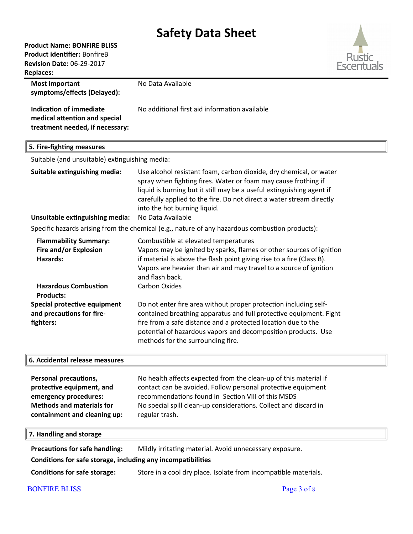## **Product Name: BONFIRE BLISS**

**Product identifier:** BonfireB

**Revision Date:** 06-29-2017



| <b>Replaces:</b>                                                                                                                                           |                                                                                                                                                                                                                                                                                                                       |
|------------------------------------------------------------------------------------------------------------------------------------------------------------|-----------------------------------------------------------------------------------------------------------------------------------------------------------------------------------------------------------------------------------------------------------------------------------------------------------------------|
| <b>Most important</b><br>symptoms/effects (Delayed):<br><b>Indication of immediate</b><br>medical attention and special<br>treatment needed, if necessary: | No Data Available<br>No additional first aid information available                                                                                                                                                                                                                                                    |
| 5. Fire-fighting measures                                                                                                                                  |                                                                                                                                                                                                                                                                                                                       |
| Suitable (and unsuitable) extinguishing media:                                                                                                             |                                                                                                                                                                                                                                                                                                                       |
| Suitable extinguishing media:                                                                                                                              | Use alcohol resistant foam, carbon dioxide, dry chemical, or water<br>spray when fighting fires. Water or foam may cause frothing if<br>liquid is burning but it still may be a useful extinguishing agent if<br>carefully applied to the fire. Do not direct a water stream directly<br>into the hot burning liquid. |
| Unsuitable extinguishing media:                                                                                                                            | No Data Available                                                                                                                                                                                                                                                                                                     |
|                                                                                                                                                            | Specific hazards arising from the chemical (e.g., nature of any hazardous combustion products):                                                                                                                                                                                                                       |
| <b>Flammability Summary:</b><br>Fire and/or Explosion<br><b>Hazards:</b>                                                                                   | Combustible at elevated temperatures<br>Vapors may be ignited by sparks, flames or other sources of ignition<br>if material is above the flash point giving rise to a fire (Class B).<br>Vapors are heavier than air and may travel to a source of ignition<br>and flash back.                                        |
| <b>Hazardous Combustion</b>                                                                                                                                | <b>Carbon Oxides</b>                                                                                                                                                                                                                                                                                                  |
| <b>Products:</b>                                                                                                                                           |                                                                                                                                                                                                                                                                                                                       |
| Special protective equipment<br>and precautions for fire-<br>fighters:                                                                                     | Do not enter fire area without proper protection including self-<br>contained breathing apparatus and full protective equipment. Fight<br>fire from a safe distance and a protected location due to the<br>potential of hazardous vapors and decomposition products. Use<br>methods for the surrounding fire.         |
| 6. Accidental release measures                                                                                                                             |                                                                                                                                                                                                                                                                                                                       |
| Personal precautions,<br>protective equipment, and<br>emergency procedures:<br><b>Methods and materials for</b><br>containment and cleaning up:            | No health affects expected from the clean-up of this material if<br>contact can be avoided. Follow personal protective equipment<br>recommendations found in Section VIII of this MSDS<br>No special spill clean-up considerations. Collect and discard in<br>regular trash.                                          |
| 7. Handling and storage                                                                                                                                    |                                                                                                                                                                                                                                                                                                                       |
|                                                                                                                                                            |                                                                                                                                                                                                                                                                                                                       |

**Precautions for safe handling:** Mildly irritating material. Avoid unnecessary exposure.

**Conditions for safe storage, including any incompatibilities**

**Conditions for safe storage:** Store in a cool dry place. Isolate from incompatible materials.

## BONFIRE BLISS Page 3 of 8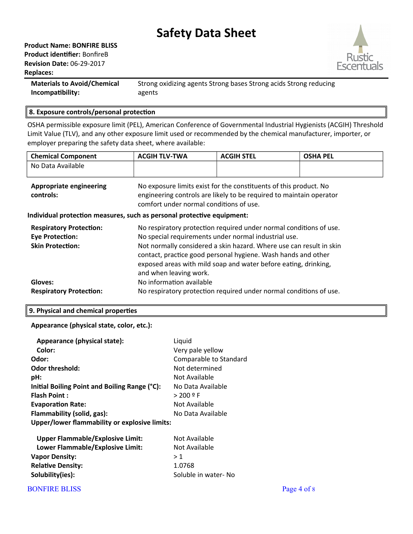

**Materials to Avoid/Chemical** Strong oxidizing agents Strong bases Strong acids Strong reducing Incompatibility: agents

### 8. Exposure controls/personal protection

OSHA permissible exposure limit (PEL), American Conference of Governmental Industrial Hygienists (ACGIH) Threshold Limit Value (TLV), and any other exposure limit used or recommended by the chemical manufacturer, importer, or employer preparing the safety data sheet, where available:

| <b>Chemical Component</b>                                              | <b>ACGIH TLV-TWA</b>                                                                                                                                                                                                              | <b>ACGIH STEL</b> | <b>OSHA PEL</b> |  |
|------------------------------------------------------------------------|-----------------------------------------------------------------------------------------------------------------------------------------------------------------------------------------------------------------------------------|-------------------|-----------------|--|
| No Data Available                                                      |                                                                                                                                                                                                                                   |                   |                 |  |
| <b>Appropriate engineering</b><br>controls:                            | No exposure limits exist for the constituents of this product. No<br>engineering controls are likely to be required to maintain operator<br>comfort under normal conditions of use.                                               |                   |                 |  |
| Individual protection measures, such as personal protective equipment: |                                                                                                                                                                                                                                   |                   |                 |  |
| <b>Respiratory Protection:</b>                                         | No respiratory protection required under normal conditions of use.                                                                                                                                                                |                   |                 |  |
| <b>Eye Protection:</b>                                                 | No special requirements under normal industrial use.                                                                                                                                                                              |                   |                 |  |
| <b>Skin Protection:</b>                                                | Not normally considered a skin hazard. Where use can result in skin<br>contact, practice good personal hygiene. Wash hands and other<br>exposed areas with mild soap and water before eating, drinking,<br>and when leaving work. |                   |                 |  |
| Gloves:                                                                | No information available                                                                                                                                                                                                          |                   |                 |  |
| <b>Respiratory Protection:</b>                                         | No respiratory protection required under normal conditions of use.                                                                                                                                                                |                   |                 |  |

#### 9. Physical and chemical properties

Appearance (physical state, color, etc.):

| Appearance (physical state):                  | Liquid                 |
|-----------------------------------------------|------------------------|
| Color:                                        | Very pale yellow       |
| Odor:                                         | Comparable to Standard |
| <b>Odor threshold:</b>                        | Not determined         |
| pH:                                           | Not Available          |
| Initial Boiling Point and Boiling Range (°C): | No Data Available      |
| <b>Flash Point:</b>                           | $> 200$ º F            |
| <b>Evaporation Rate:</b>                      | Not Available          |
| Flammability (solid, gas):                    | No Data Available      |
| Upper/lower flammability or explosive limits: |                        |

| <b>Upper Flammable/Explosive Limit:</b> | Not Available       |
|-----------------------------------------|---------------------|
| Lower Flammable/Explosive Limit:        | Not Available       |
| <b>Vapor Density:</b>                   | >1                  |
| <b>Relative Density:</b>                | 1.0768              |
| Solubility(ies):                        | Soluble in water-No |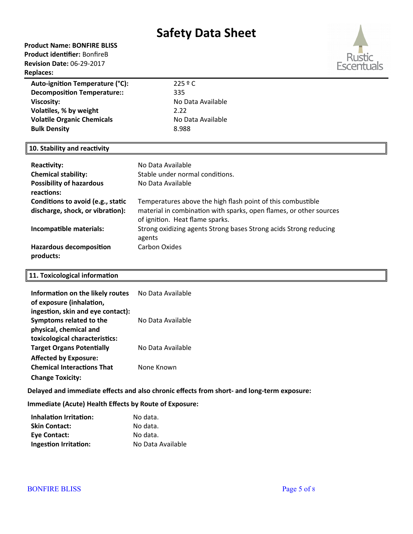## **Product Name: BONFIRE BLISS**

**Product identifier:** BonfireB **Revision Date:** 06-29-2017 **Replaces:** 



| Auto-ignition Temperature (°C):    | 2259C             |
|------------------------------------|-------------------|
| <b>Decomposition Temperature::</b> | 335               |
| Viscosity:                         | No Data Available |
| Volatiles, % by weight             | 2.22              |
| <b>Volatile Organic Chemicals</b>  | No Data Available |
| <b>Bulk Density</b>                | 8.988             |
|                                    |                   |

## **10. Stability and reactivity**

| <b>Reactivity:</b>                            | No Data Available                                                                                     |
|-----------------------------------------------|-------------------------------------------------------------------------------------------------------|
| <b>Chemical stability:</b>                    | Stable under normal conditions.                                                                       |
| <b>Possibility of hazardous</b><br>reactions: | No Data Available                                                                                     |
| Conditions to avoid (e.g., static             | Temperatures above the high flash point of this combustible                                           |
| discharge, shock, or vibration):              | material in combination with sparks, open flames, or other sources<br>of ignition. Heat flame sparks. |
| Incompatible materials:                       | Strong oxidizing agents Strong bases Strong acids Strong reducing<br>agents                           |
| <b>Hazardous decomposition</b><br>products:   | Carbon Oxides                                                                                         |

### **11. Toxicological information**

| Information on the likely routes<br>of exposure (inhalation, | No Data Available |
|--------------------------------------------------------------|-------------------|
| ingestion, skin and eye contact):                            |                   |
| Symptoms related to the                                      | No Data Available |
| physical, chemical and                                       |                   |
| toxicological characteristics:                               |                   |
| <b>Target Organs Potentially</b>                             | No Data Available |
| <b>Affected by Exposure:</b>                                 |                   |
| <b>Chemical Interactions That</b>                            | None Known        |
| <b>Change Toxicity:</b>                                      |                   |

**Delayed and immediate effects and also chronic effects from short- and long-term exposure:**

**Immediate (Acute) Health Effects by Route of Exposure:**

| <b>Inhalation Irritation:</b> | No data.          |
|-------------------------------|-------------------|
| <b>Skin Contact:</b>          | No data.          |
| Eye Contact:                  | No data.          |
| <b>Ingestion Irritation:</b>  | No Data Available |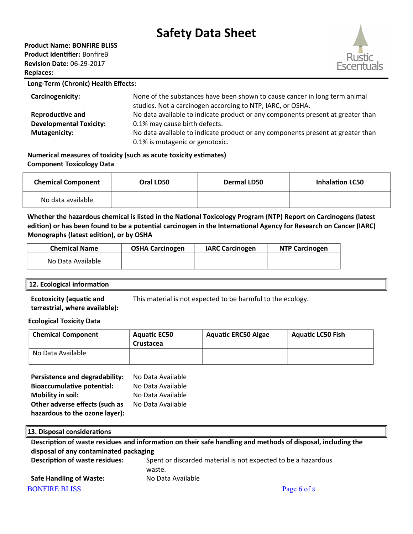### **Product Name: BONFIRE BLISS**

**Product identifier:** BonfireB **Revision Date:** 06-29-2017 **Replaces:** 



#### **Long-Term (Chronic) Health Effects:**

| Carcinogenicity:               | None of the substances have been shown to cause cancer in long term animal<br>studies. Not a carcinogen according to NTP, IARC, or OSHA. |
|--------------------------------|------------------------------------------------------------------------------------------------------------------------------------------|
| <b>Reproductive and</b>        | No data available to indicate product or any components present at greater than                                                          |
| <b>Developmental Toxicity:</b> | 0.1% may cause birth defects.                                                                                                            |
| <b>Mutagenicity:</b>           | No data available to indicate product or any components present at greater than                                                          |
|                                | 0.1% is mutagenic or genotoxic.                                                                                                          |

**Numerical measures of toxicity (such as acute toxicity estimates) Component Toxicology Data**

| <b>Chemical Component</b> | Oral LD50 | <b>Dermal LD50</b> | <b>Inhalation LC50</b> |
|---------------------------|-----------|--------------------|------------------------|
| No data available         |           |                    |                        |

**Whether the hazardous chemical is listed in the National Toxicology Program (NTP) Report on Carcinogens (latest edition) or has been found to be a potential carcinogen in the International Agency for Research on Cancer (IARC) Monographs (latest edition), or by OSHA**

| <b>Chemical Name</b> | <b>OSHA Carcinogen</b> | <b>IARC Carcinogen</b> | <b>NTP Carcinogen</b> |
|----------------------|------------------------|------------------------|-----------------------|
| No Data Available    |                        |                        |                       |

## **12. Ecological information**

**Ecotoxicity (aquatic and terrestrial, where available):** This material is not expected to be harmful to the ecology.

#### **Ecological Toxicity Data**

| <b>Chemical Component</b> | <b>Aquatic EC50</b><br>Crustacea | <b>Aquatic ERC50 Algae</b> | <b>Aguatic LC50 Fish</b> |
|---------------------------|----------------------------------|----------------------------|--------------------------|
| No Data Available         |                                  |                            |                          |

| Persistence and degradability:    | No Data Available |
|-----------------------------------|-------------------|
| <b>Bioaccumulative potential:</b> | No Data Available |
| <b>Mobility in soil:</b>          | No Data Available |
| Other adverse effects (such as    | No Data Available |
| hazardous to the ozone layer):    |                   |

## **13. Disposal considerations Description of waste residues and information on their safe handling and methods of disposal, including the disposal of any contaminated packaging Description of waste residues:** Spent or discarded material is not expected to be a hazardous waste. **Safe Handling of Waste:** No Data Available BONFIRE BLISS Page 6 of 8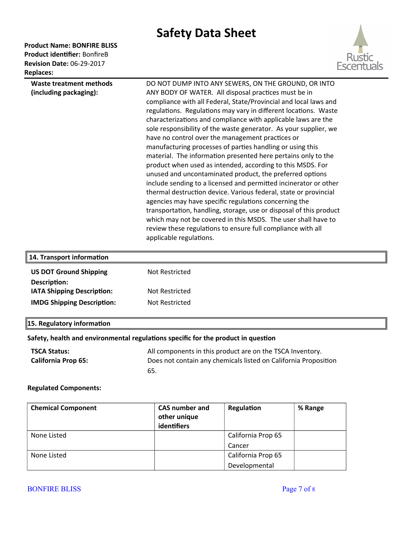### **Product Name: BONFIRE BLISS** Product identifier: BonfireB

**Revision Date: 06-29-2017** Replaces:



| Waste treatment methods | DO NOT DUMP INTO ANY SEWERS, ON THE GROUND, OR INTO                |
|-------------------------|--------------------------------------------------------------------|
| (including packaging):  | ANY BODY OF WATER. All disposal practices must be in               |
|                         | compliance with all Federal, State/Provincial and local laws and   |
|                         | regulations. Regulations may vary in different locations. Waste    |
|                         | characterizations and compliance with applicable laws are the      |
|                         | sole responsibility of the waste generator. As your supplier, we   |
|                         | have no control over the management practices or                   |
|                         | manufacturing processes of parties handling or using this          |
|                         | material. The information presented here pertains only to the      |
|                         | product when used as intended, according to this MSDS. For         |
|                         | unused and uncontaminated product, the preferred options           |
|                         | include sending to a licensed and permitted incinerator or other   |
|                         | thermal destruction device. Various federal, state or provincial   |
|                         | agencies may have specific regulations concerning the              |
|                         | transportation, handling, storage, use or disposal of this product |
|                         | which may not be covered in this MSDS. The user shall have to      |
|                         | review these regulations to ensure full compliance with all        |
|                         | applicable regulations.                                            |

| 14. Transport information         |                |
|-----------------------------------|----------------|
| <b>US DOT Ground Shipping</b>     | Not Restricted |
| Description:                      |                |
| <b>IATA Shipping Description:</b> | Not Restricted |
| <b>IMDG Shipping Description:</b> | Not Restricted |
|                                   |                |

## $\left\|$ 15. Regulatory information

## Safety, health and environmental regulations specific for the product in question

| TSCA Status:               | All components in this product are on the TSCA Inventory.       |
|----------------------------|-----------------------------------------------------------------|
| <b>California Prop 65:</b> | Does not contain any chemicals listed on California Proposition |
|                            | 65.                                                             |

#### **Regulated Components:**

| <b>Chemical Component</b> | <b>CAS number and</b> | Regulation         | % Range |
|---------------------------|-----------------------|--------------------|---------|
|                           | other unique          |                    |         |
|                           | identifiers           |                    |         |
| None Listed               |                       | California Prop 65 |         |
|                           |                       | Cancer             |         |
| None Listed               |                       | California Prop 65 |         |
|                           |                       | Developmental      |         |